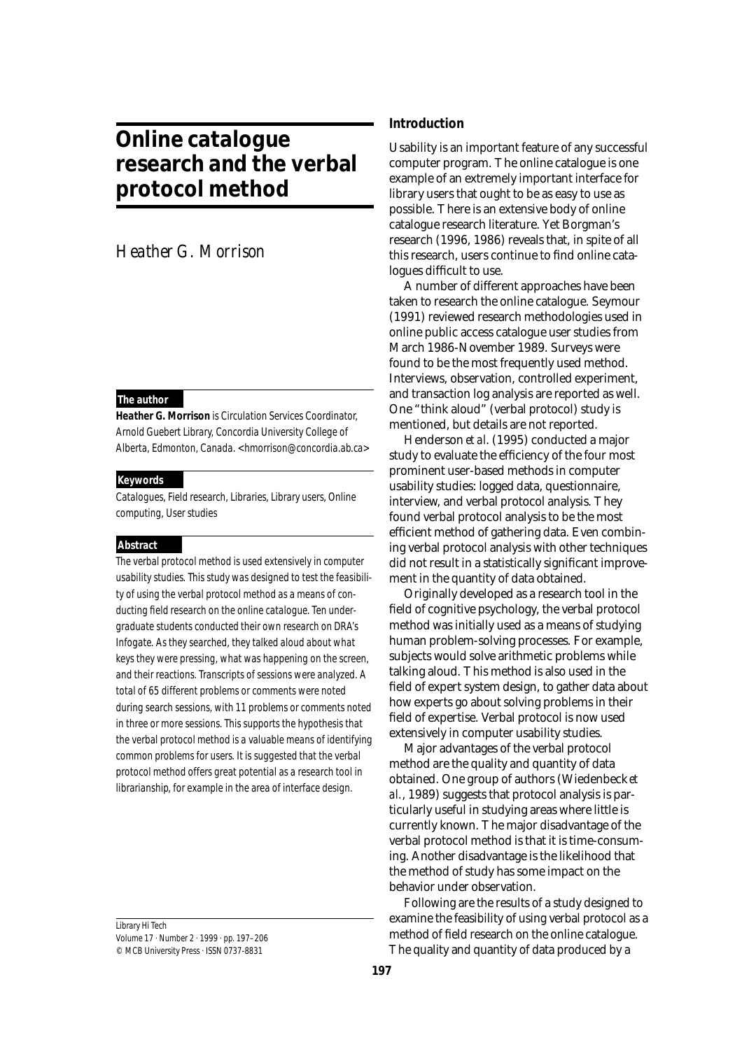# **Online catalogue research and the verbal protocol method**

# *Heather G. Morrison*

### **The author**

**Heather G. Morrison** is Circulation Services Coordinator, Arnold Guebert Library, Concordia University College of Alberta, Edmonton, Canada. <hmorrison@concordia.ab.ca>

### **Keywords**

Catalogues, Field research, Libraries, Library users, Online computing, User studies

#### **Abstract**

The verbal protocol method is used extensively in computer usability studies. This study was designed to test the feasibility of using the verbal protocol method as a means of conducting field research on the online catalogue. Ten undergraduate students conducted their own research on DRA's Infogate. As they searched, they talked aloud about what keys they were pressing, what was happening on the screen, and their reactions. Transcripts of sessions were analyzed. A total of 65 different problems or comments were noted during search sessions, with 11 problems or comments noted in three or more sessions. This supports the hypothesis that the verbal protocol method is a valuable means of identifying common problems for users. It is suggested that the verbal protocol method offers great potential as a research tool in librarianship, for example in the area of interface design.

Library Hi Tech Volume 17 · Number 2 · 1999 · pp. 197–206 © MCB University Press · ISSN 0737-8831

#### **Introduction**

Usability is an important feature of any successful computer program. The online catalogue is one example of an extremely important interface for library users that ought to be as easy to use as possible. There is an extensive body of online catalogue research literature. Yet Borgman's research (1996, 1986) reveals that, in spite of all this research, users continue to find online catalogues difficult to use.

A number of different approaches have been taken to research the online catalogue. Seymour (1991) reviewed research methodologies used in online public access catalogue user studies from March 1986-November 1989. Surveys were found to be the most frequently used method. Interviews, observation, controlled experiment, and transaction log analysis are reported as well. One "think aloud" (verbal protocol) study is mentioned, but details are not reported.

Henderson *et al*. (1995) conducted a major study to evaluate the efficiency of the four most prominent user-based methods in computer usability studies: logged data, questionnaire, interview, and verbal protocol analysis. They found verbal protocol analysis to be the most efficient method of gathering data. Even combining verbal protocol analysis with other techniques did not result in a statistically significant improvement in the quantity of data obtained.

Originally developed as a research tool in the field of cognitive psychology, the verbal protocol method was initially used as a means of studying human problem-solving processes. For example, subjects would solve arithmetic problems while talking aloud. This method is also used in the field of expert system design, to gather data about how experts go about solving problems in their field of expertise. Verbal protocol is now used extensively in computer usability studies.

Major advantages of the verbal protocol method are the quality and quantity of data obtained. One group of authors (Wiedenbeck *et al.*, 1989) suggests that protocol analysis is particularly useful in studying areas where little is currently known. The major disadvantage of the verbal protocol method is that it is time-consuming. Another disadvantage is the likelihood that the method of study has some impact on the behavior under observation.

Following are the results of a study designed to examine the feasibility of using verbal protocol as a method of field research on the online catalogue. The quality and quantity of data produced by a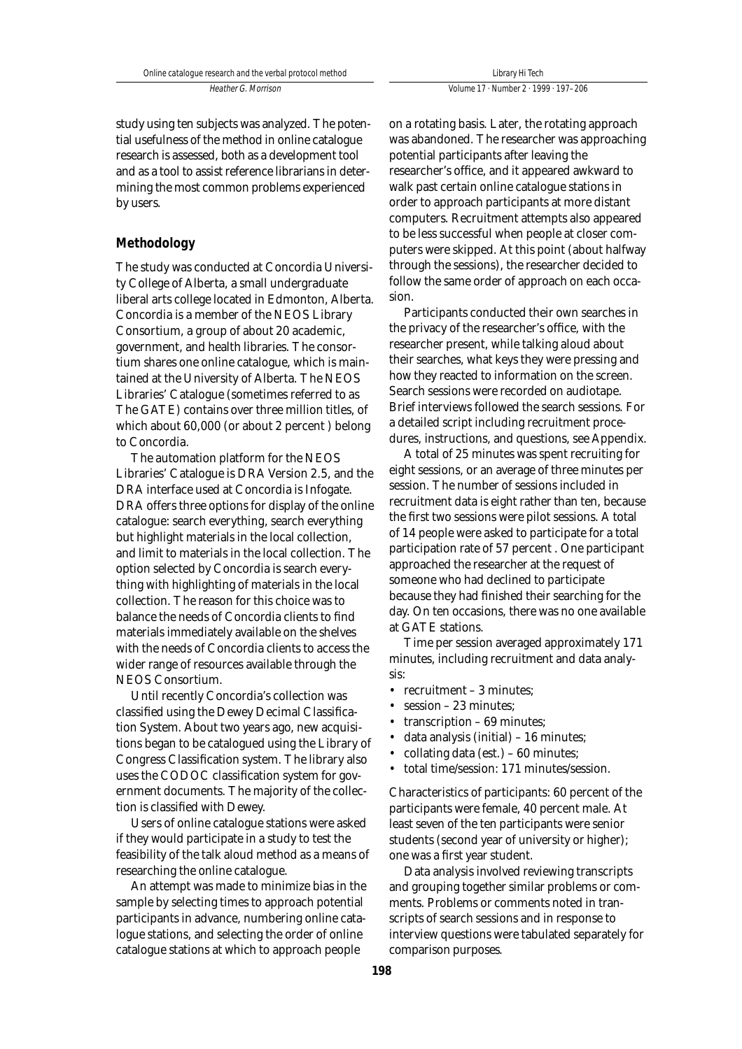study using ten subjects was analyzed. The potential usefulness of the method in online catalogue research is assessed, both as a development tool and as a tool to assist reference librarians in determining the most common problems experienced by users.

#### **Methodology**

The study was conducted at Concordia University College of Alberta, a small undergraduate liberal arts college located in Edmonton, Alberta. Concordia is a member of the NEOS Library Consortium, a group of about 20 academic, government, and health libraries. The consortium shares one online catalogue, which is maintained at the University of Alberta. The NEOS Libraries' Catalogue (sometimes referred to as The GATE) contains over three million titles, of which about 60,000 (or about 2 percent ) belong to Concordia.

The automation platform for the NEOS Libraries' Catalogue is DRA Version 2.5, and the DRA interface used at Concordia is Infogate. DRA offers three options for display of the online catalogue: search everything, search everything but highlight materials in the local collection, and limit to materials in the local collection. The option selected by Concordia is search everything with highlighting of materials in the local collection. The reason for this choice was to balance the needs of Concordia clients to find materials immediately available on the shelves with the needs of Concordia clients to access the wider range of resources available through the NEOS Consortium.

Until recently Concordia's collection was classified using the Dewey Decimal Classification System. About two years ago, new acquisitions began to be catalogued using the Library of Congress Classification system. The library also uses the CODOC classification system for government documents. The majority of the collection is classified with Dewey.

Users of online catalogue stations were asked if they would participate in a study to test the feasibility of the talk aloud method as a means of researching the online catalogue.

An attempt was made to minimize bias in the sample by selecting times to approach potential participants in advance, numbering online catalogue stations, and selecting the order of online catalogue stations at which to approach people

on a rotating basis. Later, the rotating approach was abandoned. The researcher was approaching potential participants after leaving the researcher's office, and it appeared awkward to walk past certain online catalogue stations in order to approach participants at more distant computers. Recruitment attempts also appeared to be less successful when people at closer computers were skipped. At this point (about halfway through the sessions), the researcher decided to follow the same order of approach on each occasion.

Participants conducted their own searches in the privacy of the researcher's office, with the researcher present, while talking aloud about their searches, what keys they were pressing and how they reacted to information on the screen. Search sessions were recorded on audiotape. Brief interviews followed the search sessions. For a detailed script including recruitment procedures, instructions, and questions, see Appendix.

A total of 25 minutes was spent recruiting for eight sessions, or an average of three minutes per session. The number of sessions included in recruitment data is eight rather than ten, because the first two sessions were pilot sessions. A total of 14 people were asked to participate for a total participation rate of 57 percent . One participant approached the researcher at the request of someone who had declined to participate because they had finished their searching for the day. On ten occasions, there was no one available at GATE stations.

Time per session averaged approximately 171 minutes, including recruitment and data analysis:

- recruitment 3 minutes;
- session 23 minutes:
- transcription 69 minutes;
- data analysis (initial) 16 minutes;
- collating data (est.)  $-60$  minutes;
- total time/session: 171 minutes/session.

Characteristics of participants: 60 percent of the participants were female, 40 percent male. At least seven of the ten participants were senior students (second year of university or higher); one was a first year student.

Data analysis involved reviewing transcripts and grouping together similar problems or comments. Problems or comments noted in transcripts of search sessions and in response to interview questions were tabulated separately for comparison purposes.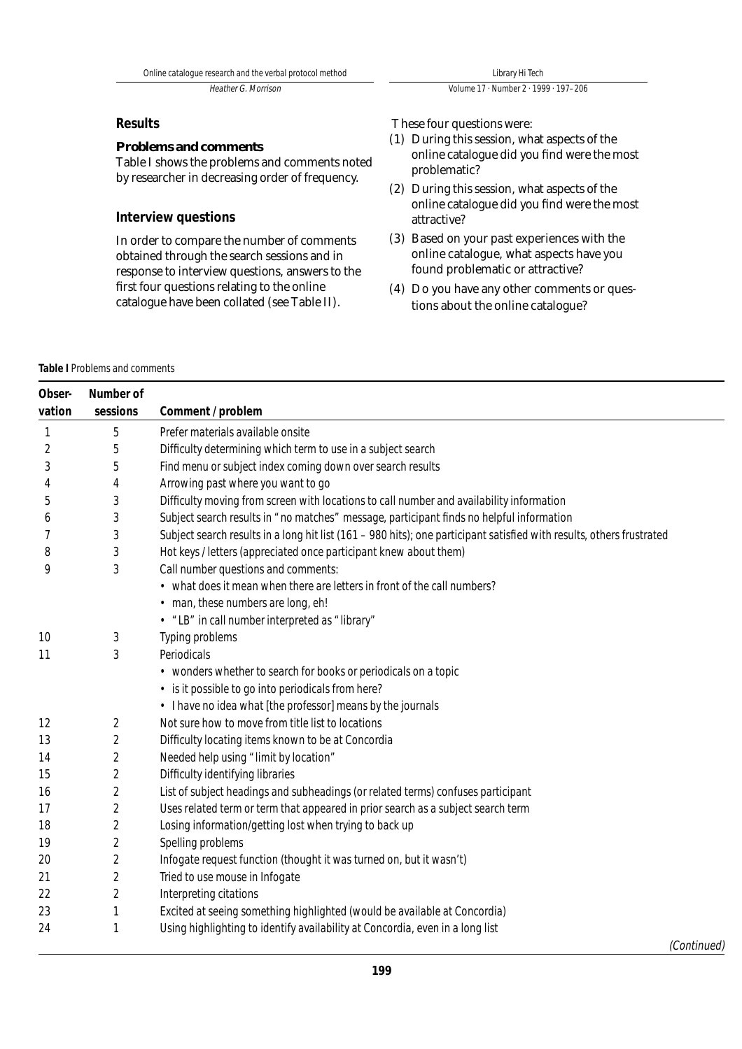## **Results**

## **Problems and comments**

Table I shows the problems and comments noted by researcher in decreasing order of frequency.

## **Interview questions**

In order to compare the number of comments obtained through the search sessions and in response to interview questions, answers to the first four questions relating to the online catalogue have been collated (see Table II).

Library Hi Tech

Volume 17 · Number 2 · 1999 · 197–206

These four questions were:

- (1) During this session, what aspects of the online catalogue did you find were the most problematic?
- (2) During this session, what aspects of the online catalogue did you find were the most attractive?
- (3) Based on your past experiences with the online catalogue, what aspects have you found problematic or attractive?
- (4) Do you have any other comments or questions about the online catalogue?

**Table I** Problems and comments

| Obser- | Number of      |                                                                                                                       |  |
|--------|----------------|-----------------------------------------------------------------------------------------------------------------------|--|
| vation | sessions       | Comment / problem                                                                                                     |  |
| 1      | 5              | Prefer materials available onsite                                                                                     |  |
| 2      | 5              | Difficulty determining which term to use in a subject search                                                          |  |
| 3      | 5              | Find menu or subject index coming down over search results                                                            |  |
| 4      | 4              | Arrowing past where you want to go                                                                                    |  |
| 5      | 3              | Difficulty moving from screen with locations to call number and availability information                              |  |
| 6      | 3              | Subject search results in "no matches" message, participant finds no helpful information                              |  |
| 7      | 3              | Subject search results in a long hit list (161 – 980 hits); one participant satisfied with results, others frustrated |  |
| 8      | 3              | Hot keys / letters (appreciated once participant knew about them)                                                     |  |
| 9      | 3              | Call number questions and comments:                                                                                   |  |
|        |                | • what does it mean when there are letters in front of the call numbers?                                              |  |
|        |                | • man, these numbers are long, eh!                                                                                    |  |
|        |                | • "LB" in call number interpreted as "library"                                                                        |  |
| 10     | 3              | Typing problems                                                                                                       |  |
| 11     | 3              | Periodicals                                                                                                           |  |
|        |                | • wonders whether to search for books or periodicals on a topic                                                       |  |
|        |                | • is it possible to go into periodicals from here?                                                                    |  |
|        |                | • I have no idea what [the professor] means by the journals                                                           |  |
| 12     | 2              | Not sure how to move from title list to locations                                                                     |  |
| 13     | $\overline{2}$ | Difficulty locating items known to be at Concordia                                                                    |  |
| 14     | 2              | Needed help using "limit by location"                                                                                 |  |
| 15     | 2              | Difficulty identifying libraries                                                                                      |  |
| 16     | 2              | List of subject headings and subheadings (or related terms) confuses participant                                      |  |
| 17     | 2              | Uses related term or term that appeared in prior search as a subject search term                                      |  |
| 18     | 2              | Losing information/getting lost when trying to back up                                                                |  |
| 19     | 2              | Spelling problems                                                                                                     |  |
| 20     | 2              | Infogate request function (thought it was turned on, but it wasn't)                                                   |  |
| 21     | 2              | Tried to use mouse in Infogate                                                                                        |  |
| 22     | 2              | Interpreting citations                                                                                                |  |
| 23     | 1              | Excited at seeing something highlighted (would be available at Concordia)                                             |  |
| 24     | 1              | Using highlighting to identify availability at Concordia, even in a long list                                         |  |
|        |                | Antinu                                                                                                                |  |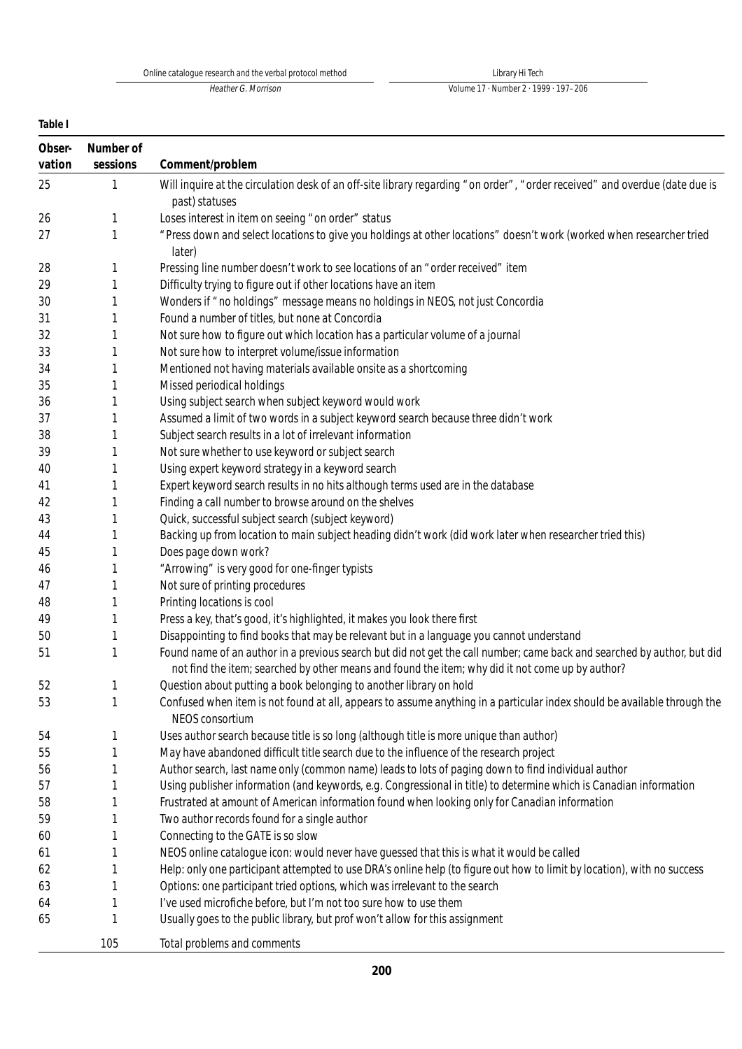| Online catalogue research and the verbal protocol method |  |
|----------------------------------------------------------|--|
|----------------------------------------------------------|--|

Heather G. Morrison

**Table I** 

Library Hi Tech

Volume 17 · Number 2 · 1999 · 197–206

| Obser-<br>vation | Number of<br>sessions | Comment/problem                                                                                                                                                                                                             |
|------------------|-----------------------|-----------------------------------------------------------------------------------------------------------------------------------------------------------------------------------------------------------------------------|
|                  |                       |                                                                                                                                                                                                                             |
| 25               | 1                     | Will inquire at the circulation desk of an off-site library regarding "on order", "order received" and overdue (date due is<br>past) statuses                                                                               |
| 26               | 1                     | Loses interest in item on seeing "on order" status                                                                                                                                                                          |
| 27               | 1                     | "Press down and select locations to give you holdings at other locations" doesn't work (worked when researcher tried<br>later)                                                                                              |
| 28               | 1                     | Pressing line number doesn't work to see locations of an "order received" item                                                                                                                                              |
| 29               | 1                     | Difficulty trying to figure out if other locations have an item                                                                                                                                                             |
| 30               | 1                     | Wonders if "no holdings" message means no holdings in NEOS, not just Concordia                                                                                                                                              |
| 31               |                       | Found a number of titles, but none at Concordia                                                                                                                                                                             |
| 32               | 1                     | Not sure how to figure out which location has a particular volume of a journal                                                                                                                                              |
| 33               | 1                     | Not sure how to interpret volume/issue information                                                                                                                                                                          |
| 34               | 1                     | Mentioned not having materials available onsite as a shortcoming                                                                                                                                                            |
| 35               |                       | Missed periodical holdings                                                                                                                                                                                                  |
| 36               |                       | Using subject search when subject keyword would work                                                                                                                                                                        |
| 37               | 1                     | Assumed a limit of two words in a subject keyword search because three didn't work                                                                                                                                          |
| 38               | 1                     | Subject search results in a lot of irrelevant information                                                                                                                                                                   |
| 39               |                       | Not sure whether to use keyword or subject search                                                                                                                                                                           |
| 40               |                       | Using expert keyword strategy in a keyword search                                                                                                                                                                           |
| 41               | 1                     | Expert keyword search results in no hits although terms used are in the database                                                                                                                                            |
| 42               | 1                     | Finding a call number to browse around on the shelves                                                                                                                                                                       |
| 43               |                       | Quick, successful subject search (subject keyword)                                                                                                                                                                          |
| 44               |                       | Backing up from location to main subject heading didn't work (did work later when researcher tried this)                                                                                                                    |
| 45               | 1                     | Does page down work?                                                                                                                                                                                                        |
| 46               | 1                     | "Arrowing" is very good for one-finger typists                                                                                                                                                                              |
| 47               |                       | Not sure of printing procedures                                                                                                                                                                                             |
| 48               |                       | Printing locations is cool                                                                                                                                                                                                  |
| 49               | 1                     | Press a key, that's good, it's highlighted, it makes you look there first                                                                                                                                                   |
| 50               | 1                     | Disappointing to find books that may be relevant but in a language you cannot understand                                                                                                                                    |
| 51               | 1                     | Found name of an author in a previous search but did not get the call number; came back and searched by author, but did<br>not find the item; searched by other means and found the item; why did it not come up by author? |
| 52               | 1                     | Question about putting a book belonging to another library on hold                                                                                                                                                          |
| 53               | 1                     | Confused when item is not found at all, appears to assume anything in a particular index should be available through the<br>NEOS consortium                                                                                 |
| 54               | 1                     | Uses author search because title is so long (although title is more unique than author)                                                                                                                                     |
| 55               | 1                     | May have abandoned difficult title search due to the influence of the research project                                                                                                                                      |
| 56               | 1                     | Author search, last name only (common name) leads to lots of paging down to find individual author                                                                                                                          |
| 57               |                       | Using publisher information (and keywords, e.g. Congressional in title) to determine which is Canadian information                                                                                                          |
| 58               | 1                     | Frustrated at amount of American information found when looking only for Canadian information                                                                                                                               |
| 59               |                       | Two author records found for a single author                                                                                                                                                                                |
| 60               |                       | Connecting to the GATE is so slow                                                                                                                                                                                           |
| 61               |                       | NEOS online catalogue icon: would never have guessed that this is what it would be called                                                                                                                                   |
| 62               | 1                     | Help: only one participant attempted to use DRA's online help (to figure out how to limit by location), with no success                                                                                                     |
| 63               | 1                     | Options: one participant tried options, which was irrelevant to the search                                                                                                                                                  |
| 64               | 1                     | I've used microfiche before, but I'm not too sure how to use them                                                                                                                                                           |
| 65               | 1                     | Usually goes to the public library, but prof won't allow for this assignment                                                                                                                                                |
|                  | 105                   | Total problems and comments                                                                                                                                                                                                 |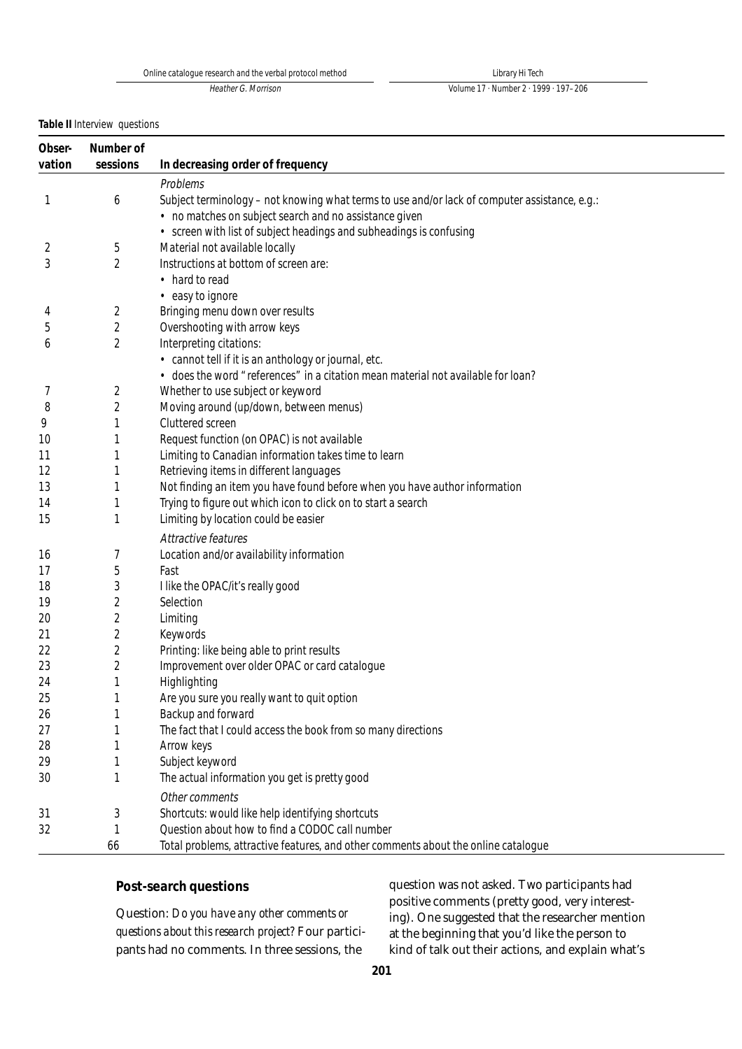Online catalogue research and the verbal protocol method

Heather G. Morrison

Library Hi Tech

Volume 17 · Number 2 · 1999 · 197–206

**Table II** Interview questions

| Obser- | Number of |                                                                                               |
|--------|-----------|-----------------------------------------------------------------------------------------------|
| vation | sessions  | In decreasing order of frequency                                                              |
|        |           | Problems                                                                                      |
| 1      | 6         | Subject terminology - not knowing what terms to use and/or lack of computer assistance, e.g.: |
|        |           | • no matches on subject search and no assistance given                                        |
|        |           | • screen with list of subject headings and subheadings is confusing                           |
| 2      | 5         | Material not available locally                                                                |
| 3      | 2         | Instructions at bottom of screen are:                                                         |
|        |           | • hard to read                                                                                |
|        |           | • easy to ignore                                                                              |
| 4      | 2         | Bringing menu down over results                                                               |
| 5      | 2         | Overshooting with arrow keys                                                                  |
| 6      | 2         | Interpreting citations:                                                                       |
|        |           | • cannot tell if it is an anthology or journal, etc.                                          |
|        |           | • does the word "references" in a citation mean material not available for loan?              |
| 7      | 2         | Whether to use subject or keyword                                                             |
| 8      | 2         | Moving around (up/down, between menus)                                                        |
| 9      |           | Cluttered screen                                                                              |
| 10     | 1         | Request function (on OPAC) is not available                                                   |
| 11     | 1         | Limiting to Canadian information takes time to learn                                          |
| 12     | 1         | Retrieving items in different languages                                                       |
| 13     | 1         | Not finding an item you have found before when you have author information                    |
| 14     | 1         | Trying to figure out which icon to click on to start a search                                 |
| 15     | 1         | Limiting by location could be easier                                                          |
|        |           | Attractive features                                                                           |
| 16     | 7         | Location and/or availability information                                                      |
| 17     | 5         | Fast                                                                                          |
| 18     | 3         | I like the OPAC/it's really good                                                              |
| 19     | 2         | Selection                                                                                     |
| 20     | 2         | Limiting                                                                                      |
| 21     | 2         | Keywords                                                                                      |
| 22     | 2         | Printing: like being able to print results                                                    |
| 23     | 2         | Improvement over older OPAC or card catalogue                                                 |
| 24     | 1         | Highlighting                                                                                  |
| 25     |           | Are you sure you really want to quit option                                                   |
| 26     |           | Backup and forward                                                                            |
| 27     |           | The fact that I could access the book from so many directions                                 |
| 28     |           | Arrow keys                                                                                    |
| 29     |           | Subject keyword                                                                               |
| 30     | 1         | The actual information you get is pretty good                                                 |
|        |           | Other comments                                                                                |
| 31     | 3         | Shortcuts: would like help identifying shortcuts                                              |
| 32     | 1         | Question about how to find a CODOC call number                                                |
|        | 66        | Total problems, attractive features, and other comments about the online catalogue            |

## **Post-search questions**

Question: *Do you have any other comments or questions about this research project?* Four participants had no comments. In three sessions, the

question was not asked. Two participants had positive comments (pretty good, very interesting). One suggested that the researcher mention at the beginning that you'd like the person to kind of talk out their actions, and explain what's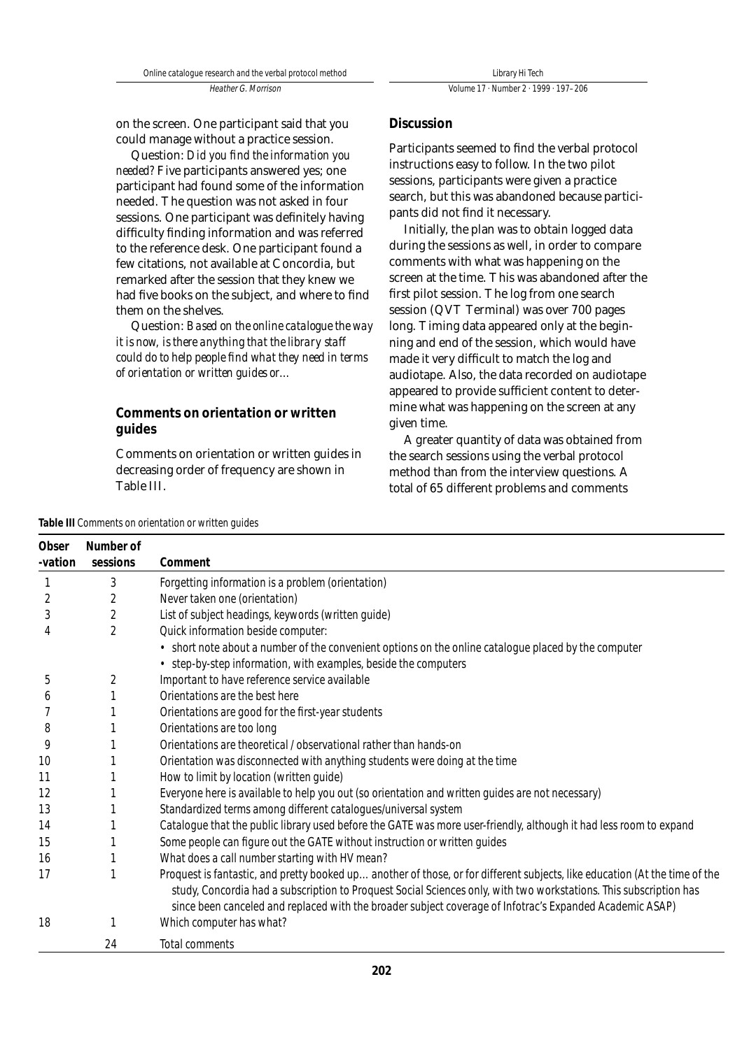Online catalogue research and the verbal protocol method Heather G. Morrison

on the screen. One participant said that you could manage without a practice session.

Question: *Did you find the information you needed?* Five participants answered yes; one participant had found some of the information needed. The question was not asked in four sessions. One participant was definitely having difficulty finding information and was referred to the reference desk. One participant found a few citations, not available at Concordia, but remarked after the session that they knew we had five books on the subject, and where to find them on the shelves.

Question: *Based on the online catalogue the way it is now, is there anything that the library staff could do to help people find what they need in terms of orientation or written guides or…*

## **Comments on orientation or written guides**

Comments on orientation or written guides in decreasing order of frequency are shown in Table III.

## **Discussion**

Participants seemed to find the verbal protocol instructions easy to follow. In the two pilot sessions, participants were given a practice search, but this was abandoned because participants did not find it necessary.

Initially, the plan was to obtain logged data during the sessions as well, in order to compare comments with what was happening on the screen at the time. This was abandoned after the first pilot session. The log from one search session (QVT Terminal) was over 700 pages long. Timing data appeared only at the beginning and end of the session, which would have made it very difficult to match the log and audiotape. Also, the data recorded on audiotape appeared to provide sufficient content to determine what was happening on the screen at any given time.

A greater quantity of data was obtained from the search sessions using the verbal protocol method than from the interview questions. A total of 65 different problems and comments

| Obser   | Number of |                                                                                                                                                                                                                                                                                                                                                              |
|---------|-----------|--------------------------------------------------------------------------------------------------------------------------------------------------------------------------------------------------------------------------------------------------------------------------------------------------------------------------------------------------------------|
| -vation | sessions  | Comment                                                                                                                                                                                                                                                                                                                                                      |
|         | 3         | Forgetting information is a problem (orientation)                                                                                                                                                                                                                                                                                                            |
| 2       | 2         | Never taken one (orientation)                                                                                                                                                                                                                                                                                                                                |
| 3       | 2         | List of subject headings, keywords (written guide)                                                                                                                                                                                                                                                                                                           |
| 4       | 2         | Quick information beside computer:                                                                                                                                                                                                                                                                                                                           |
|         |           | • short note about a number of the convenient options on the online catalogue placed by the computer                                                                                                                                                                                                                                                         |
|         |           | • step-by-step information, with examples, beside the computers                                                                                                                                                                                                                                                                                              |
| 5       | 2         | Important to have reference service available                                                                                                                                                                                                                                                                                                                |
| 6       |           | Orientations are the best here                                                                                                                                                                                                                                                                                                                               |
|         |           | Orientations are good for the first-year students                                                                                                                                                                                                                                                                                                            |
| 8       |           | Orientations are too long                                                                                                                                                                                                                                                                                                                                    |
| 9       |           | Orientations are theoretical / observational rather than hands-on                                                                                                                                                                                                                                                                                            |
| 10      |           | Orientation was disconnected with anything students were doing at the time                                                                                                                                                                                                                                                                                   |
| 11      |           | How to limit by location (written guide)                                                                                                                                                                                                                                                                                                                     |
| 12      |           | Everyone here is available to help you out (so orientation and written guides are not necessary)                                                                                                                                                                                                                                                             |
| 13      |           | Standardized terms among different catalogues/universal system                                                                                                                                                                                                                                                                                               |
| 14      |           | Catalogue that the public library used before the GATE was more user-friendly, although it had less room to expand                                                                                                                                                                                                                                           |
| 15      |           | Some people can figure out the GATE without instruction or written guides                                                                                                                                                                                                                                                                                    |
| 16      |           | What does a call number starting with HV mean?                                                                                                                                                                                                                                                                                                               |
| 17      |           | Proquest is fantastic, and pretty booked upanother of those, or for different subjects, like education (At the time of the<br>study, Concordia had a subscription to Proquest Social Sciences only, with two workstations. This subscription has<br>since been canceled and replaced with the broader subject coverage of Infotrac's Expanded Academic ASAP) |
| 18      |           | Which computer has what?                                                                                                                                                                                                                                                                                                                                     |
|         | 24        | <b>Total comments</b>                                                                                                                                                                                                                                                                                                                                        |

**Table III** Comments on orientation or written guides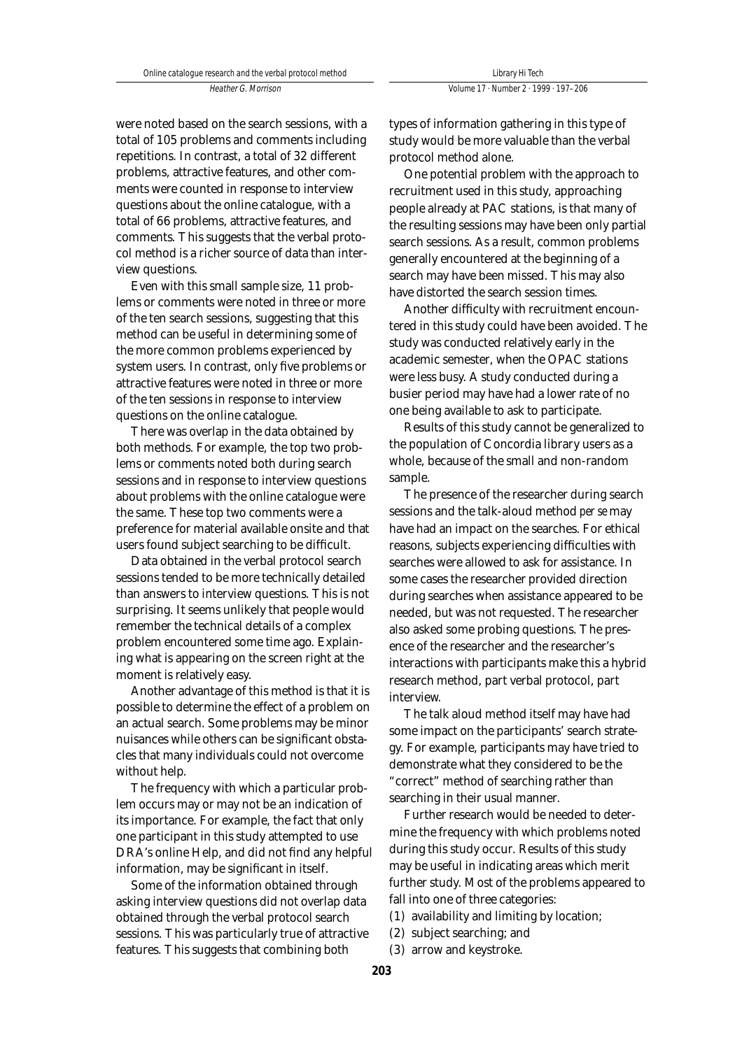were noted based on the search sessions, with a total of 105 problems and comments including repetitions. In contrast, a total of 32 different problems, attractive features, and other comments were counted in response to interview questions about the online catalogue, with a total of 66 problems, attractive features, and comments. This suggests that the verbal protocol method is a richer source of data than interview questions.

Even with this small sample size, 11 problems or comments were noted in three or more of the ten search sessions, suggesting that this method can be useful in determining some of the more common problems experienced by system users. In contrast, only five problems or attractive features were noted in three or more of the ten sessions in response to interview questions on the online catalogue.

There was overlap in the data obtained by both methods. For example, the top two problems or comments noted both during search sessions and in response to interview questions about problems with the online catalogue were the same. These top two comments were a preference for material available onsite and that users found subject searching to be difficult.

Data obtained in the verbal protocol search sessions tended to be more technically detailed than answers to interview questions. This is not surprising. It seems unlikely that people would remember the technical details of a complex problem encountered some time ago. Explaining what is appearing on the screen right at the moment is relatively easy.

Another advantage of this method is that it is possible to determine the effect of a problem on an actual search. Some problems may be minor nuisances while others can be significant obstacles that many individuals could not overcome without help.

The frequency with which a particular problem occurs may or may not be an indication of its importance. For example, the fact that only one participant in this study attempted to use DRA's online Help, and did not find any helpful information, may be significant in itself.

Some of the information obtained through asking interview questions did not overlap data obtained through the verbal protocol search sessions. This was particularly true of attractive features. This suggests that combining both

types of information gathering in this type of study would be more valuable than the verbal protocol method alone.

One potential problem with the approach to recruitment used in this study, approaching people already at PAC stations, is that many of the resulting sessions may have been only partial search sessions. As a result, common problems generally encountered at the beginning of a search may have been missed. This may also have distorted the search session times.

Another difficulty with recruitment encountered in this study could have been avoided. The study was conducted relatively early in the academic semester, when the OPAC stations were less busy. A study conducted during a busier period may have had a lower rate of no one being available to ask to participate.

Results of this study cannot be generalized to the population of Concordia library users as a whole, because of the small and non-random sample.

The presence of the researcher during search sessions and the talk-aloud method *per se* may have had an impact on the searches. For ethical reasons, subjects experiencing difficulties with searches were allowed to ask for assistance. In some cases the researcher provided direction during searches when assistance appeared to be needed, but was not requested. The researcher also asked some probing questions. The presence of the researcher and the researcher's interactions with participants make this a hybrid research method, part verbal protocol, part interview.

The talk aloud method itself may have had some impact on the participants' search strategy. For example, participants may have tried to demonstrate what they considered to be the "correct" method of searching rather than searching in their usual manner.

Further research would be needed to determine the frequency with which problems noted during this study occur. Results of this study may be useful in indicating areas which merit further study. Most of the problems appeared to fall into one of three categories:

- (1) availability and limiting by location;
- (2) subject searching; and
- (3) arrow and keystroke.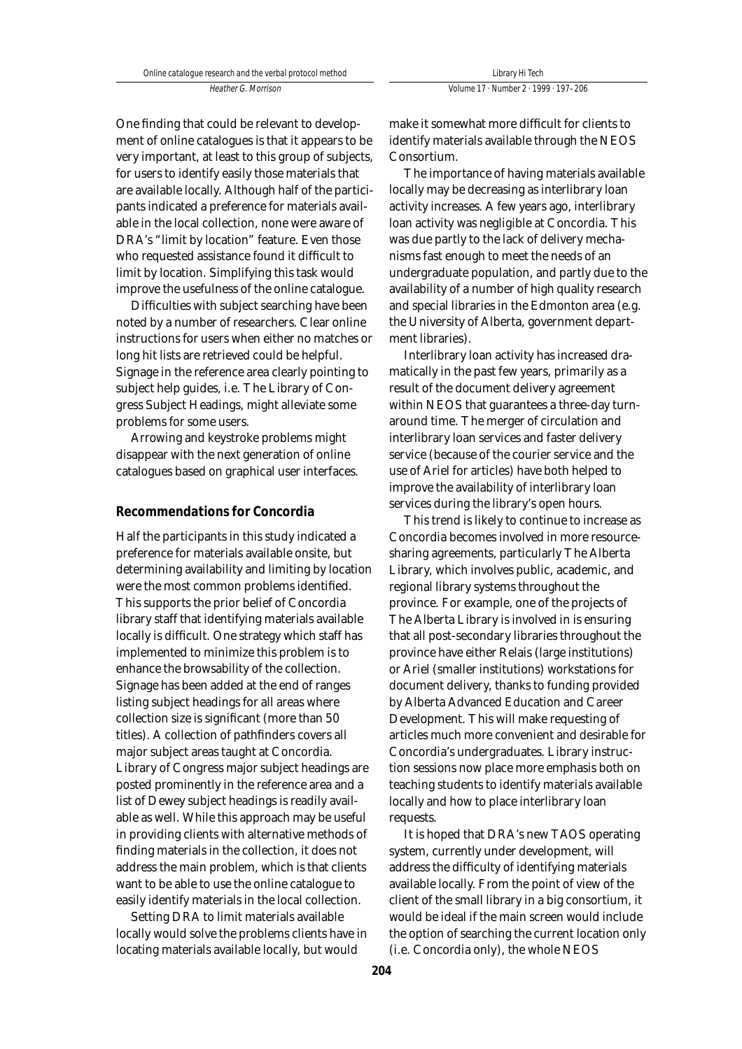One finding that could be relevant to development of online catalogues is that it appears to be very important, at least to this group of subjects, for users to identify easily those materials that are available locally. Although half of the participants indicated a preference for materials available in the local collection, none were aware of DRA's "limit by location" feature. Even those who requested assistance found it difficult to limit by location. Simplifying this task would improve the usefulness of the online catalogue.

Difficulties with subject searching have been noted by a number of researchers. Clear online instructions for users when either no matches or long hit lists are retrieved could be helpful. Signage in the reference area clearly pointing to subject help guides, i.e. The Library of Congress Subject Headings, might alleviate some problems for some users.

Arrowing and keystroke problems might disappear with the next generation of online catalogues based on graphical user interfaces.

#### **Recommendations for Concordia**

Half the participants in this study indicated a preference for materials available onsite, but determining availability and limiting by location were the most common problems identified. This supports the prior belief of Concordia library staff that identifying materials available locally is difficult. One strategy which staff has implemented to minimize this problem is to enhance the browsability of the collection. Signage has been added at the end of ranges listing subject headings for all areas where collection size is significant (more than 50 titles). A collection of pathfinders covers all major subject areas taught at Concordia. Library of Congress major subject headings are posted prominently in the reference area and a list of Dewey subject headings is readily available as well. While this approach may be useful in providing clients with alternative methods of finding materials in the collection, it does not address the main problem, which is that clients want to be able to use the online catalogue to easily identify materials in the local collection.

Setting DRA to limit materials available locally would solve the problems clients have in locating materials available locally, but would

make it somewhat more difficult for clients to identify materials available through the NEOS Consortium.

The importance of having materials available locally may be decreasing as interlibrary loan activity increases. A few years ago, interlibrary loan activity was negligible at Concordia. This was due partly to the lack of delivery mechanisms fast enough to meet the needs of an undergraduate population, and partly due to the availability of a number of high quality research and special libraries in the Edmonton area (e.g. the University of Alberta, government department libraries).

Interlibrary loan activity has increased dramatically in the past few years, primarily as a result of the document delivery agreement within NEOS that guarantees a three-day turnaround time. The merger of circulation and interlibrary loan services and faster delivery service (because of the courier service and the use of Ariel for articles) have both helped to improve the availability of interlibrary loan services during the library's open hours.

This trend is likely to continue to increase as Concordia becomes involved in more resourcesharing agreements, particularly The Alberta Library, which involves public, academic, and regional library systems throughout the province. For example, one of the projects of The Alberta Library is involved in is ensuring that all post-secondary libraries throughout the province have either Relais (large institutions) or Ariel (smaller institutions) workstations for document delivery, thanks to funding provided by Alberta Advanced Education and Career Development. This will make requesting of articles much more convenient and desirable for Concordia's undergraduates. Library instruction sessions now place more emphasis both on teaching students to identify materials available locally and how to place interlibrary loan requests.

It is hoped that DRA's new TAOS operating system, currently under development, will address the difficulty of identifying materials available locally. From the point of view of the client of the small library in a big consortium, it would be ideal if the main screen would include the option of searching the current location only (i.e. Concordia only), the whole NEOS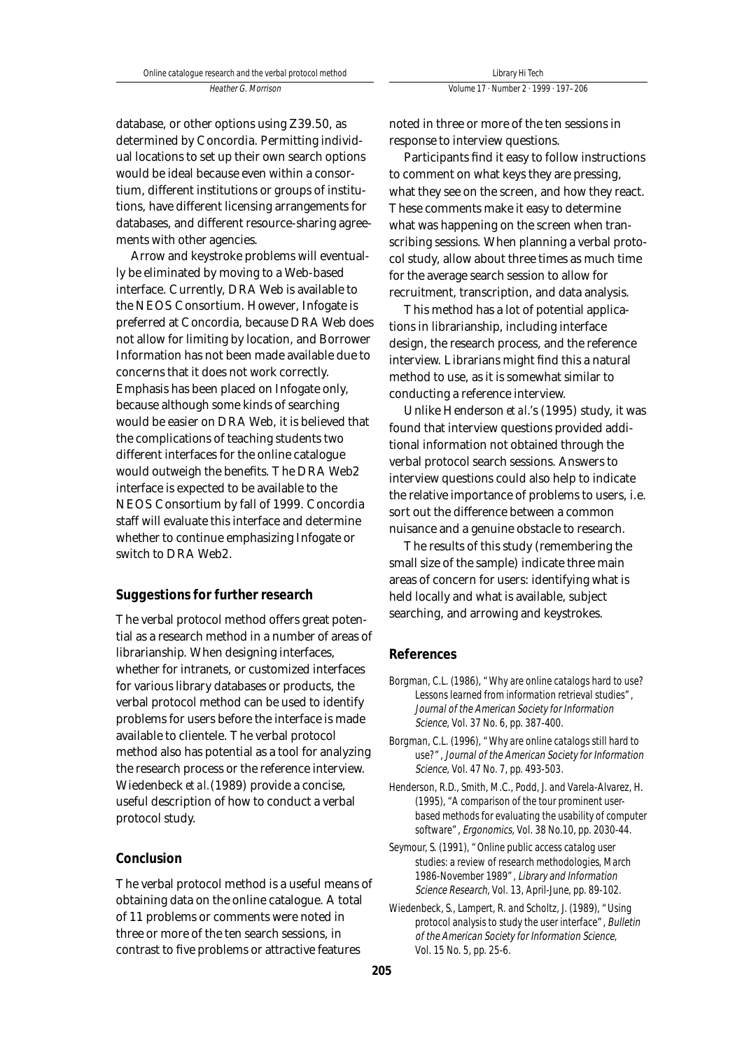database, or other options using Z39.50, as determined by Concordia. Permitting individual locations to set up their own search options would be ideal because even within a consortium, different institutions or groups of institutions, have different licensing arrangements for databases, and different resource-sharing agreements with other agencies.

Arrow and keystroke problems will eventually be eliminated by moving to a Web-based interface. Currently, DRA Web is available to the NEOS Consortium. However, Infogate is preferred at Concordia, because DRA Web does not allow for limiting by location, and Borrower Information has not been made available due to concerns that it does not work correctly. Emphasis has been placed on Infogate only, because although some kinds of searching would be easier on DRA Web, it is believed that the complications of teaching students two different interfaces for the online catalogue would outweigh the benefits. The DRA Web2 interface is expected to be available to the NEOS Consortium by fall of 1999. Concordia staff will evaluate this interface and determine whether to continue emphasizing Infogate or switch to DRA Web2.

## **Suggestions for further research**

The verbal protocol method offers great potential as a research method in a number of areas of librarianship. When designing interfaces, whether for intranets, or customized interfaces for various library databases or products, the verbal protocol method can be used to identify problems for users before the interface is made available to clientele. The verbal protocol method also has potential as a tool for analyzing the research process or the reference interview. Wiedenbeck *et al.*(1989) provide a concise, useful description of how to conduct a verbal protocol study.

## **Conclusion**

The verbal protocol method is a useful means of obtaining data on the online catalogue. A total of 11 problems or comments were noted in three or more of the ten search sessions, in contrast to five problems or attractive features

noted in three or more of the ten sessions in response to interview questions.

Participants find it easy to follow instructions to comment on what keys they are pressing, what they see on the screen, and how they react. These comments make it easy to determine what was happening on the screen when transcribing sessions. When planning a verbal protocol study, allow about three times as much time for the average search session to allow for recruitment, transcription, and data analysis.

This method has a lot of potential applications in librarianship, including interface design, the research process, and the reference interview. Librarians might find this a natural method to use, as it is somewhat similar to conducting a reference interview.

Unlike Henderson *et al*.'s (1995) study, it was found that interview questions provided additional information not obtained through the verbal protocol search sessions. Answers to interview questions could also help to indicate the relative importance of problems to users, i.e. sort out the difference between a common nuisance and a genuine obstacle to research.

The results of this study (remembering the small size of the sample) indicate three main areas of concern for users: identifying what is held locally and what is available, subject searching, and arrowing and keystrokes.

## **References**

- Borgman, C.L. (1986), "Why are online catalogs hard to use? Lessons learned from information retrieval studies", Journal of the American Society for Information Science, Vol. 37 No. 6, pp. 387-400.
- Borgman, C.L. (1996), "Why are online catalogs still hard to use?", Journal of the American Society for Information Science, Vol. 47 No. 7, pp. 493-503.
- Henderson, R.D., Smith, M.C., Podd, J. and Varela-Alvarez, H. (1995), "A comparison of the tour prominent userbased methods for evaluating the usability of computer software", Ergonomics, Vol. 38 No.10, pp. 2030-44.
- Seymour, S. (1991), "Online public access catalog user studies: a review of research methodologies, March 1986-November 1989", Library and Information Science Research, Vol. 13, April-June, pp. 89-102.
- Wiedenbeck, S., Lampert, R. and Scholtz, J. (1989), "Using protocol analysis to study the user interface", Bulletin of the American Society for Information Science, Vol. 15 No. 5, pp. 25-6.